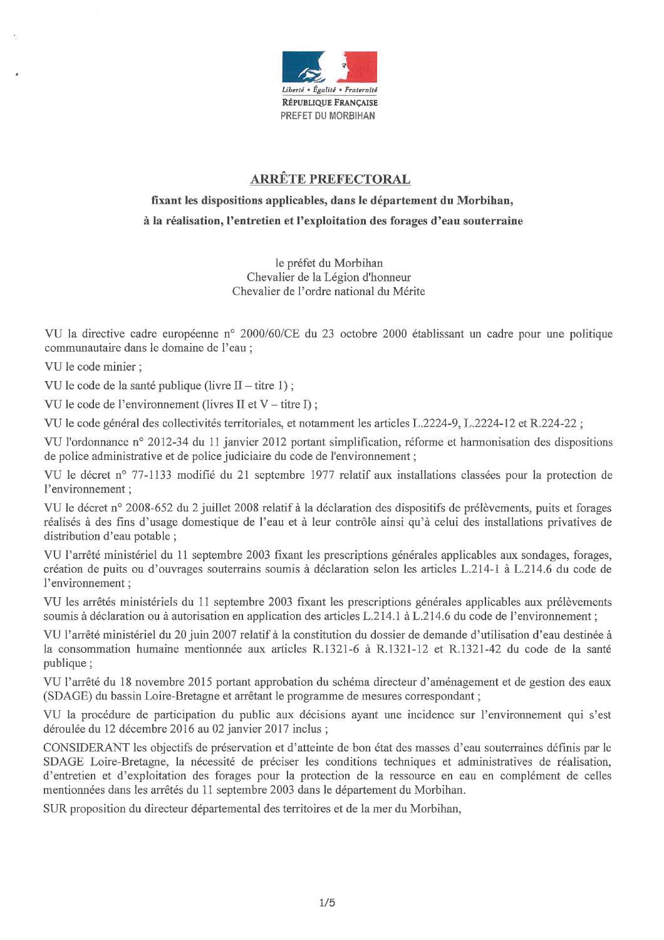

# **ARRÊTE PREFECTORAL**

# fixant les dispositions applicables, dans le département du Morbihan, à la réalisation, l'entretien et l'exploitation des forages d'eau souterraine

le préfet du Morbihan Chevalier de la Légion d'honneur Chevalier de l'ordre national du Mérite

VU la directive cadre européenne nº 2000/60/CE du 23 octobre 2000 établissant un cadre pour une politique communautaire dans le domaine de l'eau ;

VU le code minier :

VU le code de la santé publique (livre  $II -$ titre 1);

VU le code de l'environnement (livres II et  $V -$ titre I);

VU le code général des collectivités territoriales, et notamment les articles L.2224-9, L.2224-12 et R.224-22;

VU l'ordonnance n° 2012-34 du 11 janvier 2012 portant simplification, réforme et harmonisation des dispositions de police administrative et de police judiciaire du code de l'environnement;

VU le décret nº 77-1133 modifié du 21 septembre 1977 relatif aux installations classées pour la protection de l'environnement :

VU le décret n° 2008-652 du 2 juillet 2008 relatif à la déclaration des dispositifs de prélèvements, puits et forages réalisés à des fins d'usage domestique de l'eau et à leur contrôle ainsi qu'à celui des installations privatives de distribution d'eau potable ;

VU l'arrêté ministériel du 11 septembre 2003 fixant les prescriptions générales applicables aux sondages, forages, création de puits ou d'ouvrages souterrains soumis à déclaration selon les articles L.214-1 à L.214.6 du code de l'environnement :

VU les arrêtés ministériels du 11 septembre 2003 fixant les prescriptions générales applicables aux prélèvements soumis à déclaration ou à autorisation en application des articles L.214.1 à L.214.6 du code de l'environnement;

VU l'arrêté ministériel du 20 juin 2007 relatif à la constitution du dossier de demande d'utilisation d'eau destinée à la consommation humaine mentionnée aux articles R.1321-6 à R.1321-12 et R.1321-42 du code de la santé publique ;

VU l'arrêté du 18 novembre 2015 portant approbation du schéma directeur d'aménagement et de gestion des eaux (SDAGE) du bassin Loire-Bretagne et arrêtant le programme de mesures correspondant ;

VU la procédure de participation du public aux décisions ayant une incidence sur l'environnement qui s'est déroulée du 12 décembre 2016 au 02 janvier 2017 inclus;

CONSIDERANT les objectifs de préservation et d'atteinte de bon état des masses d'eau souterraines définis par le SDAGE Loire-Bretagne, la nécessité de préciser les conditions techniques et administratives de réalisation, d'entretien et d'exploitation des forages pour la protection de la ressource en eau en complément de celles mentionnées dans les arrêtés du 11 septembre 2003 dans le département du Morbihan.

SUR proposition du directeur départemental des territoires et de la mer du Morbihan,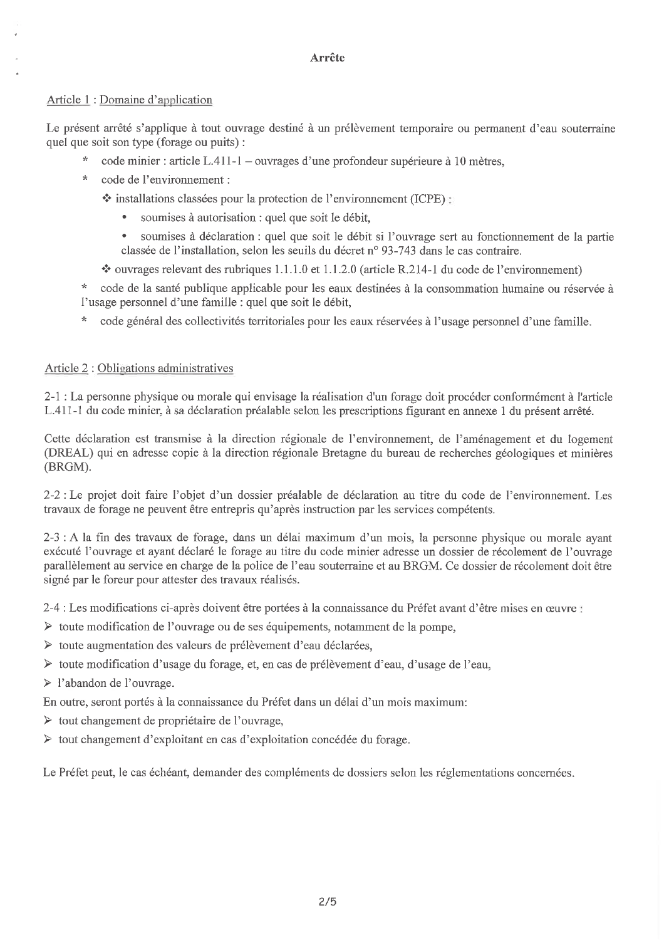# **Arrête**

# Article 1: Domaine d'application

Le présent arrêté s'applique à tout ouvrage destiné à un prélèvement temporaire ou permanent d'eau souterraine quel que soit son type (forage ou puits):

- $\star$ code minier : article L.411-1 – ouvrages d'une profondeur supérieure à 10 mètres,
- $\star$ code de l'environnement :

❖ installations classées pour la protection de l'environnement (ICPE) :

- soumises à autorisation : quel que soit le débit,
- $\bullet$ soumises à déclaration : quel que soit le débit si l'ouvrage sert au fonctionnement de la partie classée de l'installation, selon les seuils du décret n° 93-743 dans le cas contraire.
- $\div$  ouvrages relevant des rubriques 1.1.1.0 et 1.1.2.0 (article R.214-1 du code de l'environnement)
- \* code de la santé publique applicable pour les eaux destinées à la consommation humaine ou réservée à l'usage personnel d'une famille : quel que soit le débit,
- code général des collectivités territoriales pour les eaux réservées à l'usage personnel d'une famille.

# Article 2 : Obligations administratives

2-1 : La personne physique ou morale qui envisage la réalisation d'un forage doit procéder conformément à l'article L.411-1 du code minier, à sa déclaration préalable selon les prescriptions figurant en annexe 1 du présent arrêté.

Cette déclaration est transmise à la direction régionale de l'environnement, de l'aménagement et du logement (DREAL) qui en adresse copie à la direction régionale Bretagne du bureau de recherches géologiques et minières (BRGM).

2-2 : Le projet doit faire l'objet d'un dossier préalable de déclaration au titre du code de l'environnement. Les travaux de forage ne peuvent être entrepris qu'après instruction par les services compétents.

2-3 : A la fin des travaux de forage, dans un délai maximum d'un mois, la personne physique ou morale ayant exécuté l'ouvrage et ayant déclaré le forage au titre du code minier adresse un dossier de récolement de l'ouvrage parallèlement au service en charge de la police de l'eau souterraine et au BRGM. Ce dossier de récolement doit être signé par le foreur pour attester des travaux réalisés.

2-4 : Les modifications ci-après doivent être portées à la connaissance du Préfet avant d'être mises en œuvre

- > toute modification de l'ouvrage ou de ses équipements, notamment de la pompe,
- Solute augmentation des valeurs de prélèvement d'eau déclarées,
- ≻ toute modification d'usage du forage, et, en cas de prélèvement d'eau, d'usage de l'eau,

 $\triangleright$  l'abandon de l'ouvrage.

- En outre, seront portés à la connaissance du Préfet dans un délai d'un mois maximum:
- > tout changement de propriétaire de l'ouvrage,
- ightharpoonup terms d'exploitant en cas d'exploitation concédée du forage.

Le Préfet peut, le cas échéant, demander des compléments de dossiers selon les réglementations concernées.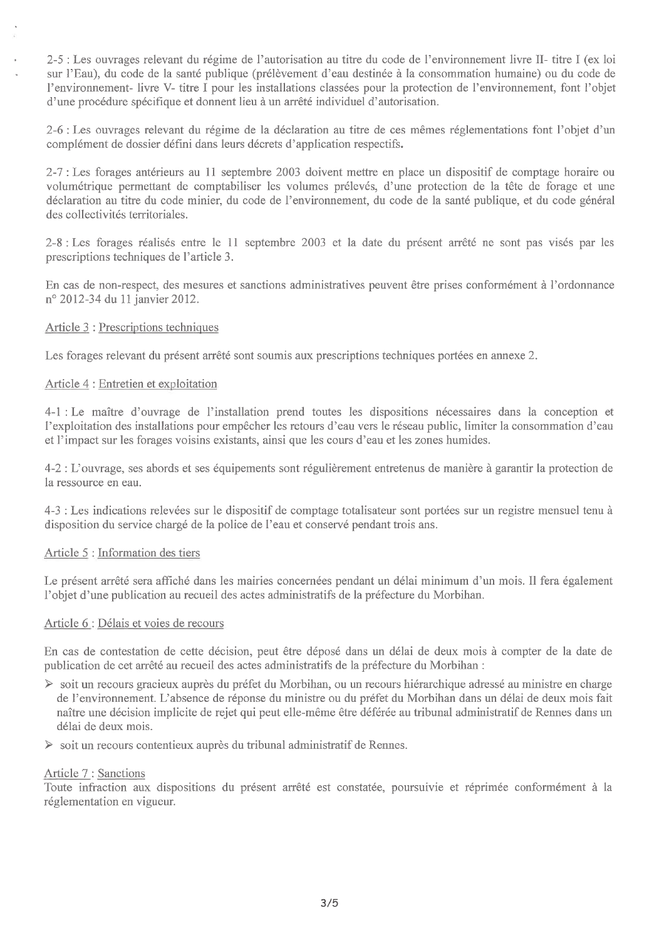2-5 : Les ouvrages relevant du régime de l'autorisation au titre du code de l'environnement livre II- titre I (ex loi sur l'Eau), du code de la santé publique (prélèvement d'eau destinée à la consommation humaine) ou du code de l'environnement-livre V- titre I pour les installations classées pour la protection de l'environnement, font l'objet d'une procédure spécifique et donnent lieu à un arrêté individuel d'autorisation.

2-6 : Les ouvrages relevant du régime de la déclaration au titre de ces mêmes réglementations font l'objet d'un complément de dossier défini dans leurs décrets d'application respectifs.

2-7 : Les forages antérieurs au 11 septembre 2003 doivent mettre en place un dispositif de comptage horaire ou volumétrique permettant de comptabiliser les volumes prélevés, d'une protection de la tête de forage et une déclaration au titre du code minier, du code de l'environnement, du code de la santé publique, et du code général des collectivités territoriales.

2-8 : Les forages réalisés entre le 11 septembre 2003 et la date du présent arrêté ne sont pas visés par les prescriptions techniques de l'article 3.

En cas de non-respect, des mesures et sanctions administratives peuvent être prises conformément à l'ordonnance nº 2012-34 du 11 janvier 2012.

### Article 3 : Prescriptions techniques

Les forages relevant du présent arrêté sont soumis aux prescriptions techniques portées en annexe 2.

### Article 4 : Entretien et exploitation

4-1 : Le maître d'ouvrage de l'installation prend toutes les dispositions nécessaires dans la conception et l'exploitation des installations pour empêcher les retours d'eau vers le réseau public, limiter la consommation d'eau et l'impact sur les forages voisins existants, ainsi que les cours d'eau et les zones humides.

4-2 : L'ouvrage, ses abords et ses équipements sont régulièrement entretenus de manière à garantir la protection de la ressource en eau.

4-3 : Les indications relevées sur le dispositif de comptage totalisateur sont portées sur un registre mensuel tenu à disposition du service chargé de la police de l'eau et conservé pendant trois ans.

#### Article 5 : Information des tiers

Le présent arrêté sera affiché dans les mairies concernées pendant un délai minimum d'un mois. Il fera également l'objet d'une publication au recueil des actes administratifs de la préfecture du Morbihan.

#### Article 6 : Délais et voies de recours

En cas de contestation de cette décision, peut être déposé dans un délai de deux mois à compter de la date de publication de cet arrêté au recueil des actes administratifs de la préfecture du Morbihan :

- > soit un recours gracieux auprès du préfet du Morbihan, ou un recours hiérarchique adressé au ministre en charge de l'environnement. L'absence de réponse du ministre ou du préfet du Morbihan dans un délai de deux mois fait naître une décision implicite de rejet qui peut elle-même être déférée au tribunal administratif de Rennes dans un délai de deux mois.
- Soit un recours contentieux auprès du tribunal administratif de Rennes.

#### Article 7: Sanctions

Toute infraction aux dispositions du présent arrêté est constatée, poursuivie et réprimée conformément à la réglementation en vigueur.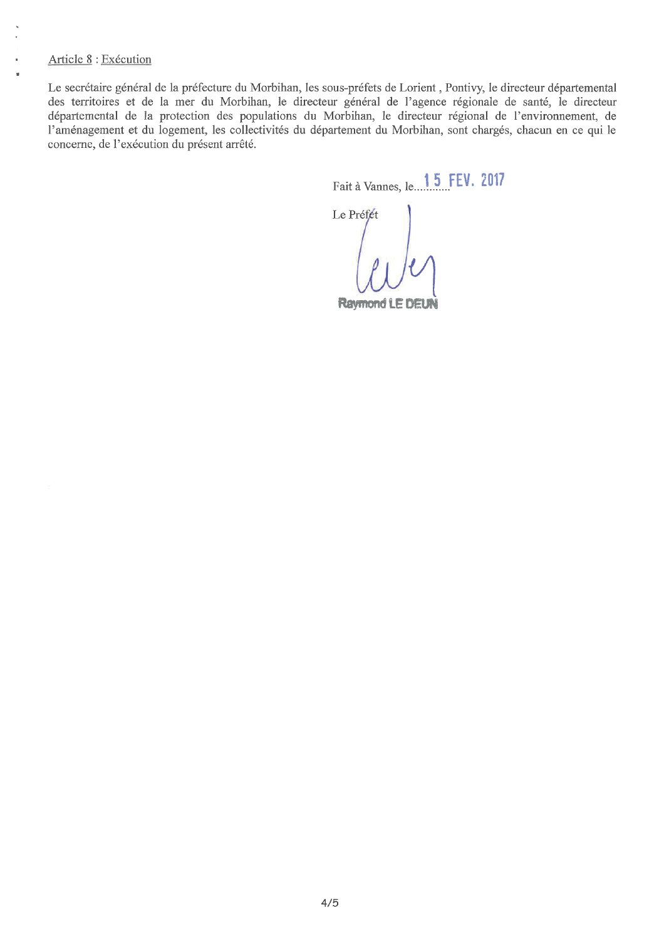# Article 8 : Exécution

Le secrétaire général de la préfecture du Morbihan, les sous-préfets de Lorient, Pontivy, le directeur départemental des territoires et de la mer du Morbihan, le directeur général de l'agence régionale de santé, le directeur départemental de la protection des populations du Morbihan, le directeur régional de l'environnement, de l'aménagement et du logement, les collectivités du département du Morbihan, sont chargés, chacun en ce qui le concerne, de l'exécution du présent arrêté.

Fait à Vannes, le. 15 FEV. 2017

Le Préfét

**Raymond LE DEUN**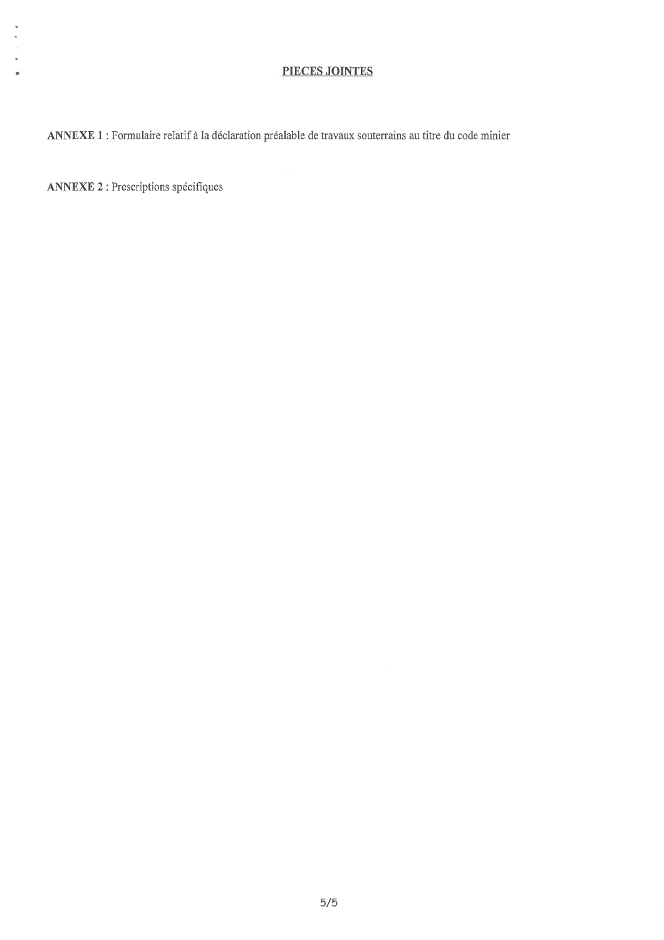# PIECES JOINTES

ANNEXE 1 : Formulaire relatif à la déclaration préalable de travaux souterrains au titre du code minier

 $\mathcal{A}^{\mathcal{A}}$ 

**ANNEXE 2 : Prescriptions spécifiques** 

 $\hat{\mathbf{v}}$ 

à.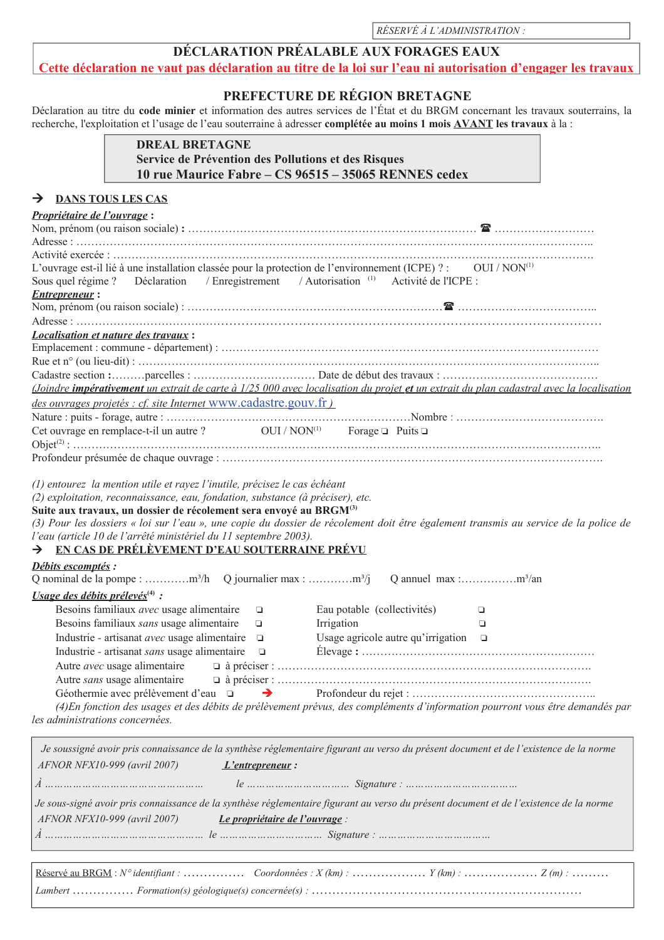RÉSERVÉ À L'ADMINISTRATION :

# DÉCLARATION PRÉALABLE AUX FORAGES EAUX

Cette déclaration ne vaut pas déclaration au titre de la loi sur l'eau ni autorisation d'engager les travaux

# PREFECTURE DE RÉGION BRETAGNE

Déclaration au titre du code minier et information des autres services de l'État et du BRGM concernant les travaux souterrains, la recherche, l'exploitation et l'usage de l'eau souterraine à adresser complétée au moins 1 mois AVANT les travaux à la :

# **DREAL BRETAGNE** Service de Prévention des Pollutions et des Risques 10 rue Maurice Fabre - CS 96515 - 35065 RENNES cedex

#### **DANS TOUS LES CAS**  $\rightarrow$

| Propriétaire de l'ouvrage:                                                                                                                |                                                                                                                                         |
|-------------------------------------------------------------------------------------------------------------------------------------------|-----------------------------------------------------------------------------------------------------------------------------------------|
|                                                                                                                                           |                                                                                                                                         |
|                                                                                                                                           |                                                                                                                                         |
|                                                                                                                                           |                                                                                                                                         |
| L'ouvrage est-il lié à une installation classée pour la protection de l'environnement (ICPE) ? : OUI / NON <sup>(1)</sup>                 |                                                                                                                                         |
| Sous quel régime ? Déclaration / Enregistrement / Autorisation (1) Activité de l'ICPE :                                                   |                                                                                                                                         |
| <b>Entrepreneur:</b>                                                                                                                      |                                                                                                                                         |
|                                                                                                                                           |                                                                                                                                         |
|                                                                                                                                           |                                                                                                                                         |
| <i><b>Localisation et nature des travaux :</b></i>                                                                                        |                                                                                                                                         |
|                                                                                                                                           |                                                                                                                                         |
|                                                                                                                                           |                                                                                                                                         |
|                                                                                                                                           | (Joindre impérativement un extrait de carte à 1/25 000 avec localisation du projet et un extrait du plan cadastral avec la localisation |
| des ouvrages projetés : cf. site Internet WWW.cadastre.gouv.fr)                                                                           |                                                                                                                                         |
|                                                                                                                                           |                                                                                                                                         |
| Cet ouvrage en remplace-t-il un autre ? $OUI/NON^{(1)}$ Forage $\Box$ Puits $\Box$                                                        |                                                                                                                                         |
|                                                                                                                                           |                                                                                                                                         |
| l'eau (article 10 de l'arrêté ministériel du 11 septembre 2003).<br>> EN CAS DE PRÉLÈVEMENT D'EAU SOUTERRAINE PRÉVU<br>Débits escomptés : | (3) Pour les dossiers « loi sur l'eau », une copie du dossier de récolement doit être également transmis au service de la police de     |
|                                                                                                                                           |                                                                                                                                         |
| <i>Usage des débits prélevés</i> <sup>(4)</sup> :                                                                                         |                                                                                                                                         |
| Besoins familiaux avec usage alimentaire<br>$\Box$                                                                                        | Eau potable (collectivités)<br>$\Box$                                                                                                   |
| Besoins familiaux sans usage alimentaire<br>$\Box$                                                                                        | Irrigation<br>▫                                                                                                                         |
| Industrie - artisanat avec usage alimentaire $\Box$                                                                                       | Usage agricole autre qu'irrigation $\square$                                                                                            |
| Industrie - artisanat sans usage alimentaire $\Box$                                                                                       |                                                                                                                                         |
| Autre sans usage alimentaire                                                                                                              |                                                                                                                                         |
| Géothermie avec prélèvement d'eau $\Box$ $\rightarrow$                                                                                    |                                                                                                                                         |
|                                                                                                                                           | (4) En fonction des usages et des débits de prélèvement prévus, des compléments d'information pourront vous être demandés par           |
| les administrations concernées.                                                                                                           |                                                                                                                                         |
|                                                                                                                                           |                                                                                                                                         |
|                                                                                                                                           | Je soussigné avoir pris connaissance de la synthèse réglementaire figurant au verso du présent document et de l'existence de la norme   |
| AFNOR NFX10-999 (avril 2007)<br>$L'$ entrepreneur:                                                                                        |                                                                                                                                         |
|                                                                                                                                           |                                                                                                                                         |
|                                                                                                                                           |                                                                                                                                         |
|                                                                                                                                           | Je sous-signé avoir pris connaissance de la synthèse réglementaire figurant au verso du présent document et de l'existence de la norme  |
| AFNOR NFX10-999 (avril 2007)<br>Le propriétaire de l'ouvrage :                                                                            |                                                                                                                                         |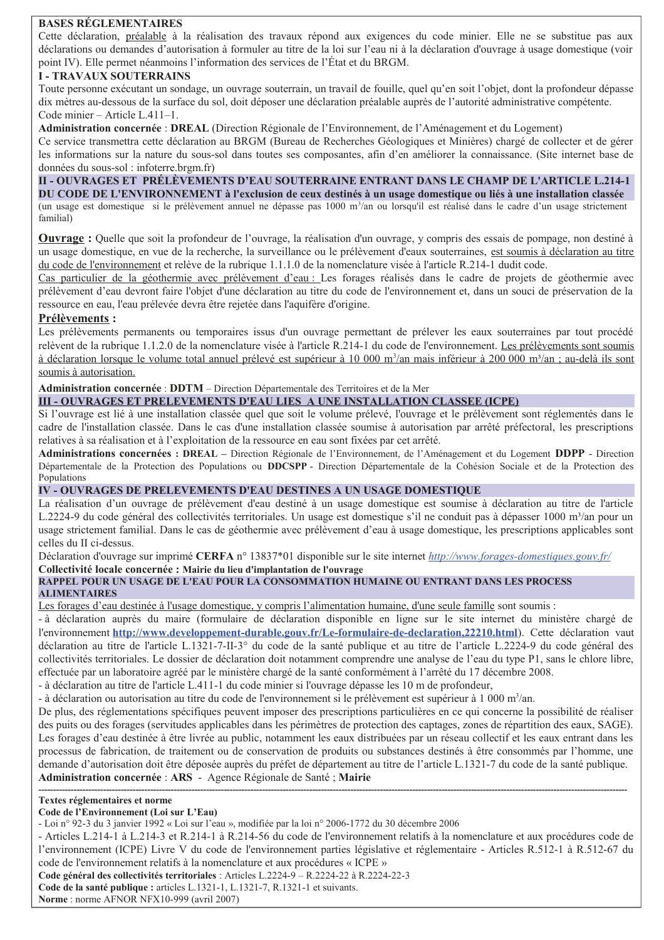### **BASES RÉGLEMENTAIRES**

Cette déclaration, préalable à la réalisation des travaux répond aux exigences du code minier. Elle ne se substitue pas aux déclarations ou demandes d'autorisation à formuler au titre de la loi sur l'eau ni à la déclaration d'ouvrage à usage domestique (voir point IV). Elle permet néanmoins l'information des services de l'État et du BRGM.

### **I - TRAVAUX SOUTERRAINS**

Toute personne exécutant un sondage, un ouvrage souterrain, un travail de fouille, quel qu'en soit l'objet, dont la profondeur dépasse dix mètres au-dessous de la surface du sol, doit déposer une déclaration préalable auprès de l'autorité administrative compétente. Code minier - Article L.411-1.

Administration concernée : DREAL (Direction Régionale de l'Environnement, de l'Aménagement et du Logement)

Ce service transmettra cette déclaration au BRGM (Bureau de Recherches Géologiques et Minières) chargé de collecter et de gérer les informations sur la nature du sous-sol dans toutes ses composantes, afin d'en améliorer la connaissance. (Site internet base de données du sous-sol : infoterre.brgm.fr)

II - OUVRAGES ET PRÉLÈVEMENTS D'EAU SOUTERRAINE ENTRANT DANS LE CHAMP DE L'ARTICLE L.214-1 DU CODE DE L'ENVIRONNEMENT à l'exclusion de ceux destinés à un usage domestique ou liés à une installation classée (un usage est domestique si le prélèvement annuel ne dépasse pas  $1000 \text{ m}^3$ an ou lorsqu'il est réalisé dans le cadre d'un usage strictement familial)

**Ouvrage :** Quelle que soit la profondeur de l'ouvrage, la réalisation d'un ouvrage, y compris des essais de pompage, non destiné à un usage domestique, en vue de la recherche, la surveillance ou le prélèvement d'eaux souterraines, est soumis à déclaration au titre du code de l'environnement et relève de la rubrique 1.1.1.0 de la nomenclature visée à l'article R.214-1 dudit code.

Cas particulier de la géothermie avec prélèvement d'eau : Les forages réalisés dans le cadre de projets de géothermie avec prélèvement d'eau devront faire l'objet d'une déclaration au titre du code de l'environnement et, dans un souci de préservation de la ressource en eau, l'eau prélevée devra être rejetée dans l'aquifère d'origine.

### **Prélèvements:**

Les prélèvements permanents ou temporaires issus d'un ouvrage permettant de prélever les eaux souterraines par tout procédé relèvent de la rubrique 1.1.2.0 de la nomenclature visée à l'article R.214-1 du code de l'environnement. Les prélèvements sont soumis à déclaration lorsque le volume total annuel prélevé est supérieur à 10 000 m<sup>3</sup>/an mais inférieur à 200 000 m<sup>3</sup>/an ; au-delà ils sont soumis à autorisation.

### Administration concernée : DDTM – Direction Départementale des Territoires et de la Mer

### III - OUVRAGES ET PRELEVEMENTS D'EAU LIES A UNE INSTALLATION CLASSEE (ICPE)

Si l'ouvrage est lié à une installation classée quel que soit le volume prélevé, l'ouvrage et le prélèvement sont réglementés dans le cadre de l'installation classée. Dans le cas d'une installation classée soumise à autorisation par arrêté préfectoral, les prescriptions relatives à sa réalisation et à l'exploitation de la ressource en eau sont fixées par cet arrêté.

Administrations concernées : DREAL – Direction Régionale de l'Environnement, de l'Aménagement et du Logement DDPP - Direction Départementale de la Protection des Populations ou DDCSPP - Direction Départementale de la Cohésion Sociale et de la Protection des Populations

#### IV - OUVRAGES DE PRELEVEMENTS D'EAU DESTINES A UN USAGE DOMESTIQUE

La réalisation d'un ouvrage de prélèvement d'eau destiné à un usage domestique est soumise à déclaration au titre de l'article L.2224-9 du code général des collectivités territoriales. Un usage est domestique s'il ne conduit pas à dépasser 1000 m<sup>3</sup>/an pour un usage strictement familial. Dans le cas de géothermie avec prélèvement d'eau à usage domestique, les prescriptions applicables sont celles du II ci-dessus.

Déclaration d'ouvrage sur imprimé CERFA n° 13837\*01 disponible sur le site internet http://www.forages-domestiques.gouv.fr/

#### Collectivité locale concernée : Mairie du lieu d'implantation de l'ouvrage

### RAPPEL POUR UN USAGE DE L'EAU POUR LA CONSOMMATION HUMAINE OU ENTRANT DANS LES PROCESS **ALIMENTAIRES**

Les forages d'eau destinée à l'usage domestique, y compris l'alimentation humaine, d'une seule famille sont soumis :

- à déclaration auprès du maire (formulaire de déclaration disponible en ligne sur le site internet du ministère chargé de l'environnement http://www.developpement-durable.gouv.fr/Le-formulaire-de-declaration,22210.html). Cette déclaration vaut déclaration au titre de l'article L.1321-7-II-3° du code de la santé publique et au titre de l'article L.2224-9 du code général des collectivités territoriales. Le dossier de déclaration doit notamment comprendre une analyse de l'eau du type P1, sans le chlore libre, effectuée par un laboratoire agréé par le ministère chargé de la santé conformément à l'arrêté du 17 décembre 2008.

- à déclaration au titre de l'article L.411-1 du code minier si l'ouvrage dépasse les 10 m de profondeur,

- à déclaration ou autorisation au titre du code de l'environnement si le prélèvement est supérieur à 1 000 m<sup>3</sup>/an.

De plus, des réglementations spécifiques peuvent imposer des prescriptions particulières en ce qui concerne la possibilité de réaliser des puits ou des forages (servitudes applicables dans les périmètres de protection des captages, zones de répartition des eaux, SAGE). Les forages d'eau destinée à être livrée au public, notamment les eaux distribuées par un réseau collectif et les eaux entrant dans les processus de fabrication, de traitement ou de conservation de produits ou substances destinés à être consommés par l'homme, une demande d'autorisation doit être déposée auprès du préfet de département au titre de l'article L.1321-7 du code de la santé publique. Administration concernée : ARS - Agence Régionale de Santé ; Mairie

#### Textes réglementaires et norme

#### Code de l'Environnement (Loi sur L'Eau)

- Articles L.214-1 à L.214-3 et R.214-1 à R.214-56 du code de l'environnement relatifs à la nomenclature et aux procédures code de l'environnement (ICPE) Livre V du code de l'environnement parties législative et réglementaire - Articles R.512-1 à R.512-67 du code de l'environnement relatifs à la nomenclature et aux procédures « ICPE »

Code général des collectivités territoriales : Articles L.2224-9 - R.2224-22 à R.2224-22-3

Code de la santé publique : articles L.1321-1, L.1321-7, R.1321-1 et suivants.

Norme: norme AFNOR NFX10-999 (avril 2007)

<sup>-</sup> Loi nº 92-3 du 3 janvier 1992 « Loi sur l'eau », modifiée par la loi nº 2006-1772 du 30 décembre 2006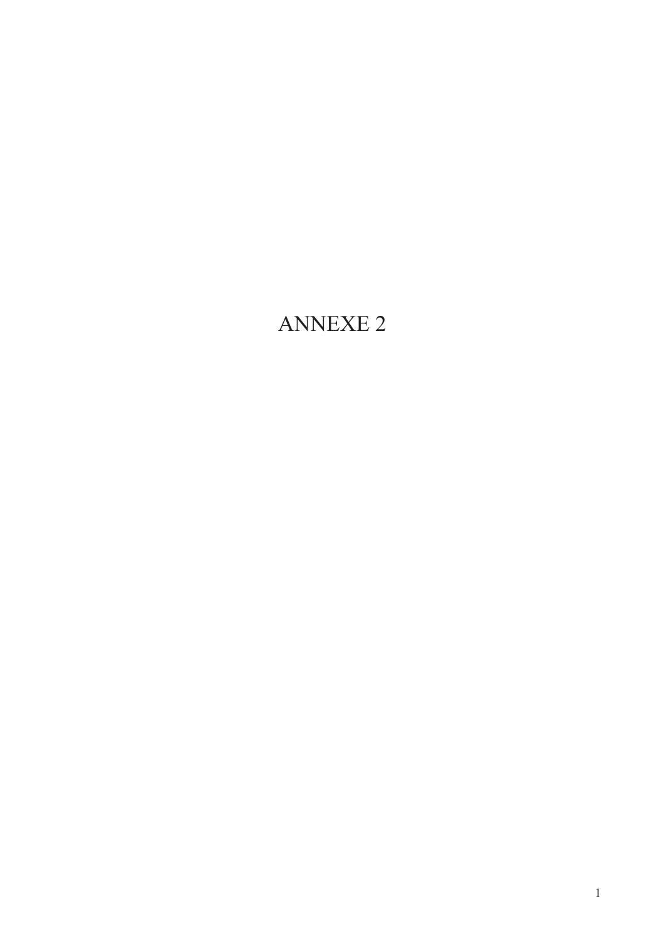# **ANNEXE 2**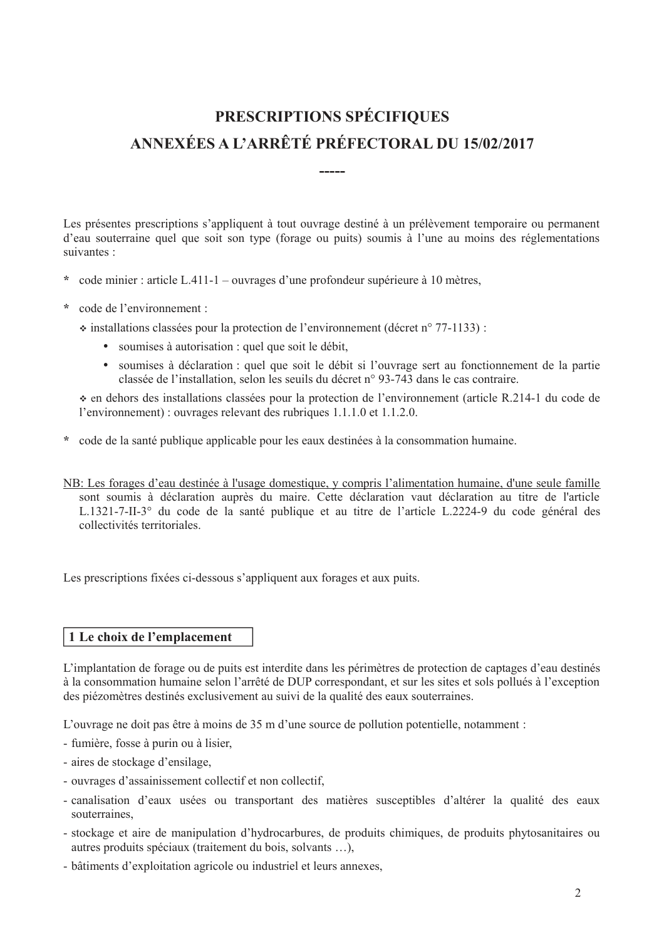# PRESCRIPTIONS SPÉCIFIQUES ANNEXÉES A L'ARRÊTÉ PRÉFECTORAL DU 15/02/2017

Les présentes prescriptions s'appliquent à tout ouvrage destiné à un prélèvement temporaire ou permanent d'eau souterraine quel que soit son type (forage ou puits) soumis à l'une au moins des réglementations suivantes :

- \* code minier : article L.411-1 ouvrages d'une profondeur supérieure à 10 mètres,
- \* code de l'environnement :

 $\div$  installations classées pour la protection de l'environnement (décret n° 77-1133) :

- soumises à autorisation : quel que soit le débit,
- soumises à déclaration : quel que soit le débit si l'ouvrage sert au fonctionnement de la partie classée de l'installation, selon les seuils du décret n° 93-743 dans le cas contraire.

• en dehors des installations classées pour la protection de l'environnement (article R.214-1 du code de l'environnement) : ouvrages relevant des rubriques 1.1.1.0 et 1.1.2.0.

- \* code de la santé publique applicable pour les eaux destinées à la consommation humaine.
- NB: Les forages d'eau destinée à l'usage domestique, y compris l'alimentation humaine, d'une seule famille sont soumis à déclaration auprès du maire. Cette déclaration vaut déclaration au titre de l'article L.1321-7-II-3° du code de la santé publique et au titre de l'article L.2224-9 du code général des collectivités territoriales

Les prescriptions fixées ci-dessous s'appliquent aux forages et aux puits.

# 1 Le choix de l'emplacement

L'implantation de forage ou de puits est interdite dans les périmètres de protection de captages d'eau destinés à la consommation humaine selon l'arrêté de DUP correspondant, et sur les sites et sols pollués à l'exception des piézomètres destinés exclusivement au suivi de la qualité des eaux souterraines.

L'ouvrage ne doit pas être à moins de 35 m d'une source de pollution potentielle, notamment :

- fumière, fosse à purin ou à lisier,
- aires de stockage d'ensilage,
- ouvrages d'assainissement collectif et non collectif.
- canalisation d'eaux usées ou transportant des matières susceptibles d'altérer la qualité des eaux souterraines
- stockage et aire de manipulation d'hydrocarbures, de produits chimiques, de produits phytosanitaires ou autres produits spéciaux (traitement du bois, solvants ...),
- bâtiments d'exploitation agricole ou industriel et leurs annexes.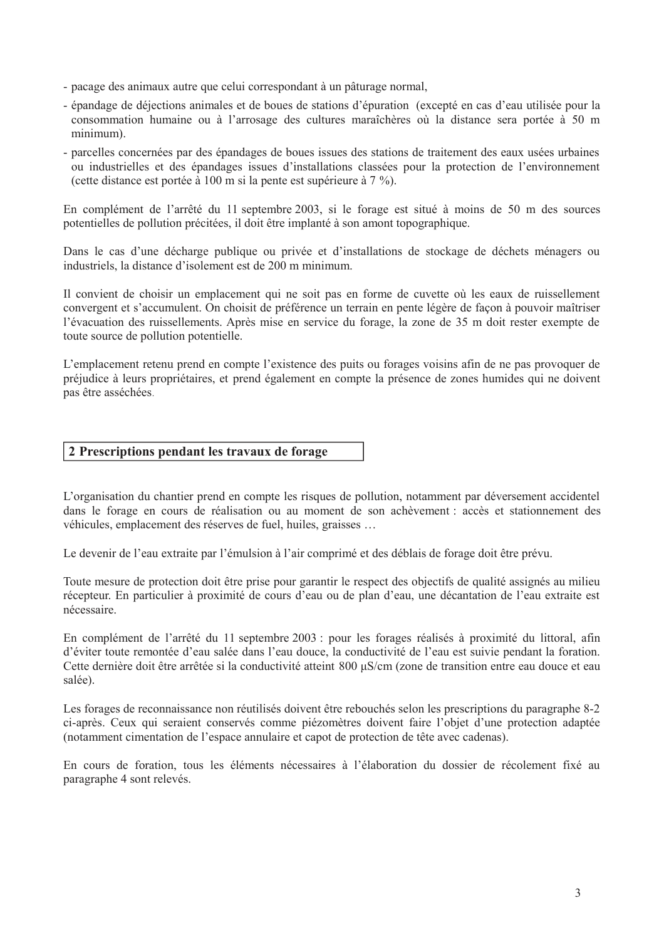- pacage des animaux autre que celui correspondant à un pâturage normal,
- épandage de déjections animales et de boues de stations d'épuration (excepté en cas d'eau utilisée pour la consommation humaine ou à l'arrosage des cultures maraîchères où la distance sera portée à 50 m minimum).
- parcelles concernées par des épandages de boues issues des stations de traitement des eaux usées urbaines ou industrielles et des épandages issues d'installations classées pour la protection de l'environnement (cette distance est portée à 100 m si la pente est supérieure à 7 %).

En complément de l'arrêté du 11 septembre 2003, si le forage est situé à moins de 50 m des sources potentielles de pollution précitées, il doit être implanté à son amont topographique.

Dans le cas d'une décharge publique ou privée et d'installations de stockage de déchets ménagers ou industriels. la distance d'isolement est de 200 m minimum.

Il convient de choisir un emplacement qui ne soit pas en forme de cuvette où les eaux de ruissellement convergent et s'accumulent. On choisit de préférence un terrain en pente légère de façon à pouvoir maîtriser l'évacuation des ruissellements. Après mise en service du forage, la zone de 35 m doit rester exempte de toute source de pollution potentielle.

L'emplacement retenu prend en compte l'existence des puits ou forages voisins afin de ne pas provoquer de préjudice à leurs propriétaires, et prend également en compte la présence de zones humides qui ne doivent pas être asséchées.

# 2 Prescriptions pendant les travaux de forage

L'organisation du chantier prend en compte les risques de pollution, notamment par déversement accidentel dans le forage en cours de réalisation ou au moment de son achèvement : accès et stationnement des véhicules, emplacement des réserves de fuel, huiles, graisses ...

Le devenir de l'eau extraite par l'émulsion à l'air comprimé et des déblais de forage doit être prévu.

Toute mesure de protection doit être prise pour garantir le respect des objectifs de qualité assignés au milieu récepteur. En particulier à proximité de cours d'eau ou de plan d'eau, une décantation de l'eau extraite est nécessaire.

En complément de l'arrêté du 11 septembre 2003 : pour les forages réalisés à proximité du littoral, afin d'éviter toute remontée d'eau salée dans l'eau douce, la conductivité de l'eau est suivie pendant la foration. Cette dernière doit être arrêtée si la conductivité atteint 800 µS/cm (zone de transition entre eau douce et eau salée)

Les forages de reconnaissance non réutilisés doivent être rebouchés selon les prescriptions du paragraphe 8-2 ci-après. Ceux qui seraient conservés comme piézomètres doivent faire l'objet d'une protection adaptée (notamment cimentation de l'espace annulaire et capot de protection de tête avec cadenas).

En cours de foration, tous les éléments nécessaires à l'élaboration du dossier de récolement fixé au paragraphe 4 sont relevés.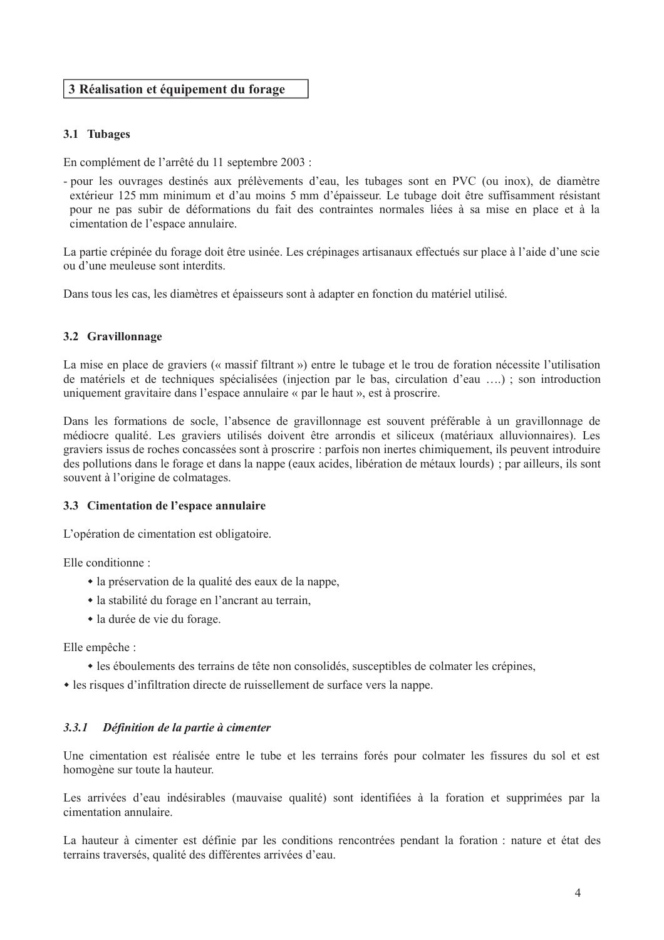# 3 Réalisation et équipement du forage

# 3.1 Tubages

En complément de l'arrêté du 11 septembre 2003 :

- pour les ouvrages destinés aux prélèvements d'eau. les tubages sont en PVC (ou inox), de diamètre extérieur 125 mm minimum et d'au moins 5 mm d'épaisseur. Le tubage doit être suffisamment résistant pour ne pas subir de déformations du fait des contraintes normales liées à sa mise en place et à la cimentation de l'espace annulaire.

La partie crépinée du forage doit être usinée. Les crépinages artisanaux effectués sur place à l'aide d'une scie ou d'une meuleuse sont interdits.

Dans tous les cas, les diamètres et épaisseurs sont à adapter en fonction du matériel utilisé.

# 3.2 Gravillonnage

La mise en place de graviers (« massif filtrant ») entre le tubage et le trou de foration nécessite l'utilisation de matériels et de techniques spécialisées (injection par le bas, circulation d'eau ....); son introduction uniquement gravitaire dans l'espace annulaire « par le haut », est à proscrire.

Dans les formations de socle, l'absence de gravillonnage est souvent préférable à un gravillonnage de médiocre qualité. Les graviers utilisés doivent être arrondis et siliceux (matériaux alluvionnaires). Les graviers issus de roches concassées sont à proscrire : parfois non inertes chimiquement, ils peuvent introduire des pollutions dans le forage et dans la nappe (eaux acides, libération de métaux lourds) ; par ailleurs, ils sont souvent à l'origine de colmatages.

# 3.3 Cimentation de l'espace annulaire

L'opération de cimentation est obligatoire.

Elle conditionne:

- la préservation de la qualité des eaux de la nappe.
- la stabilité du forage en l'ancrant au terrain,
- la durée de vie du forage.

Elle empêche :

- les éboulements des terrains de tête non consolidés, sus ceptibles de colmater les crépines,
- les risques d'infiltration directe de ruissellement de surface vers la nappe.

#### $3.3.1$ Définition de la partie à cimenter

Une cimentation est réalisée entre le tube et les terrains forés pour colmater les fissures du sol et est homogène sur toute la hauteur.

Les arrivées d'eau indésirables (mauvaise qualité) sont identifiées à la foration et supprimées par la cimentation annulaire.

La hauteur à cimenter est définie par les conditions rencontrées pendant la foration : nature et état des terrains traversés, qualité des différentes arrivées d'eau.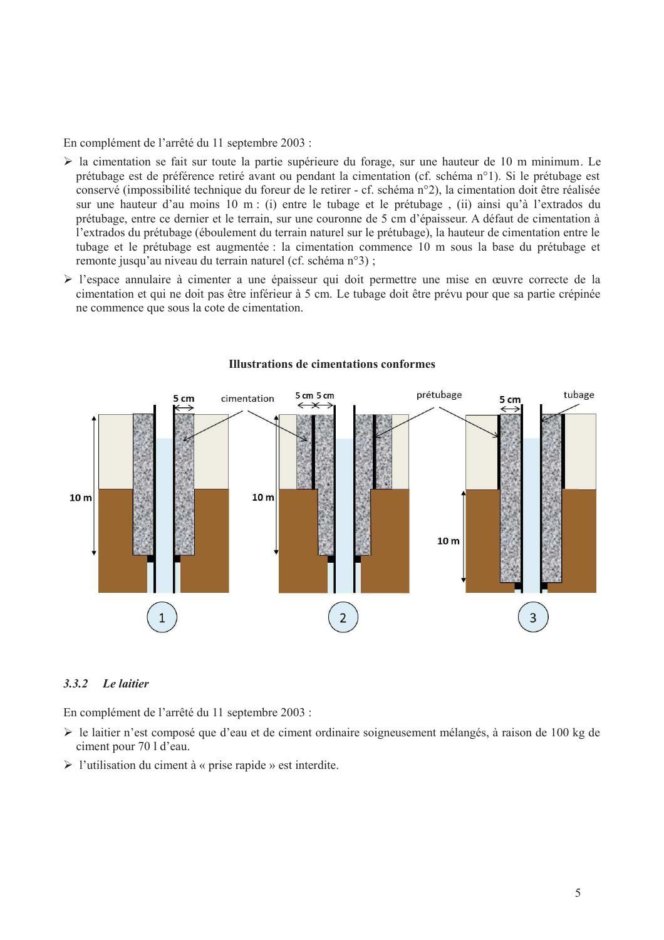En complément de l'arrêté du 11 septembre 2003 :

- $\triangleright$  la cimentation se fait sur toute la partie supérieure du forage, sur une hauteur de 10 m minimum. Le prétubage est de préférence retiré avant ou pendant la cimentation (cf. schéma n°1). Si le prétubage est conservé (impossibilité technique du foreur de le retirer - cf. schéma n°2), la cimentation doit être réalisée sur une hauteur d'au moins 10 m : (i) entre le tubage et le prétubage, (ii) ainsi qu'à l'extrados du prétubage, entre ce dernier et le terrain, sur une couronne de 5 cm d'épaisseur. A défaut de cimentation à l'extrados du prétubage (éboulement du terrain naturel sur le prétubage), la hauteur de cimentation entre le tubage et le prétubage est augmentée : la cimentation commence 10 m sous la base du prétubage et remonte jusqu'au niveau du terrain naturel (cf. schéma n°3);
- I'espace annulaire à cimenter a une épaisseur qui doit permettre une mise en œuvre correcte de la cimentation et qui ne doit pas être inférieur à 5 cm. Le tubage doit être prévu pour que sa partie crépinée ne commence que sous la cote de cimentation.



#### **Illustrations de cimentations conformes**

#### $3.3.2$ Le laitier

En complément de l'arrêté du 11 septembre 2003 :

- $\triangleright$  le laitier n'est composé que d'eau et de ciment ordinaire soigneusement mélangés, à raison de 100 kg de ciment pour 70 l d'eau.
- $\triangleright$  l'utilisation du ciment à « prise rapide » est interdite.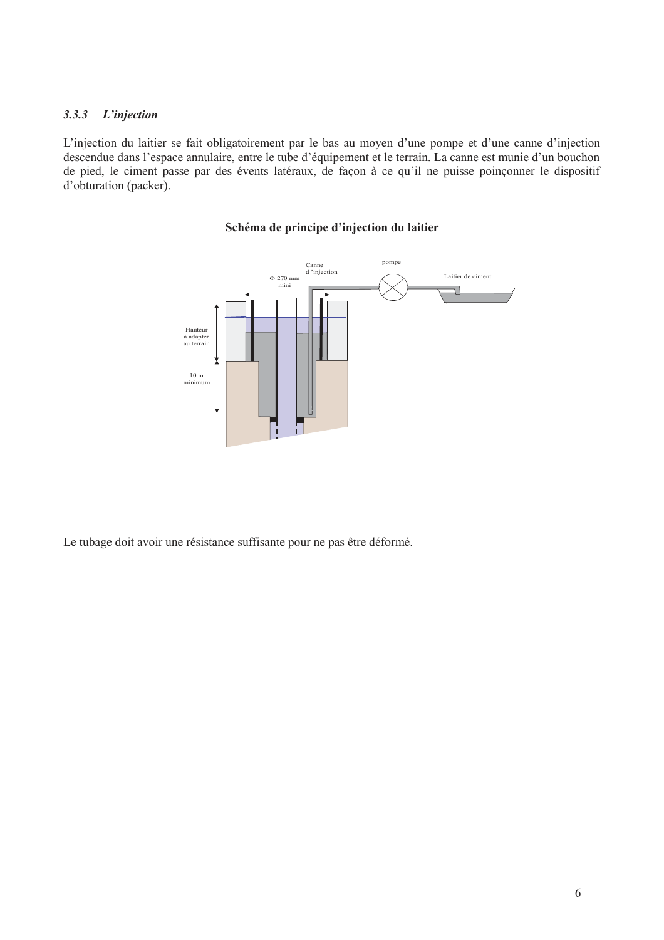#### L'injection  $3.3.3$

L'injection du laitier se fait obligatoirement par le bas au moyen d'une pompe et d'une canne d'injection descendue dans l'espace annulaire, entre le tube d'équipement et le terrain. La canne est munie d'un bouchon de pied, le ciment passe par des évents latéraux, de façon à ce qu'il ne puisse poinçonner le dispositif d'obturation (packer).

# Schéma de principe d'injection du laitier



Le tubage doit avoir une résistance suffisante pour ne pas être déformé.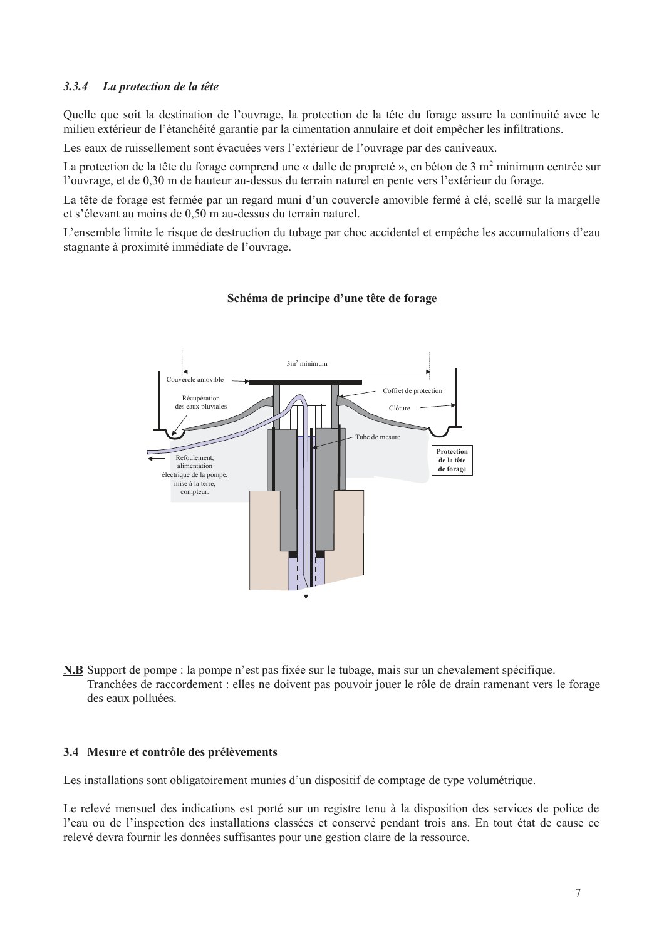#### $3.3.4$ La protection de la tête

Quelle que soit la destination de l'ouvrage, la protection de la tête du forage assure la continuité avec le milieu extérieur de l'étanchéité garantie par la cimentation annulaire et doit empêcher les infiltrations.

Les eaux de ruissellement sont évacuées vers l'extérieur de l'ouvrage par des caniveaux.

La protection de la tête du forage comprend une « dalle de propreté », en béton de 3 m<sup>2</sup> minimum centrée sur l'ouvrage, et de 0,30 m de hauteur au-dessus du terrain naturel en pente vers l'extérieur du forage.

La tête de forage est fermée par un regard muni d'un couvercle amovible fermé à clé, scellé sur la margelle et s'élevant au moins de 0,50 m au-dessus du terrain naturel.

L'ensemble limite le risque de destruction du tubage par choc accidentel et empêche les accumulations d'eau stagnante à proximité immédiate de l'ouvrage.



# Schéma de principe d'une tête de forage

N.B. Support de pompe : la pompe n'est pas fixée sur le tubage, mais sur un chevalement spécifique. Tranchées de raccordement : elles ne doivent pas pouvoir jouer le rôle de drain ramenant vers le forage des eaux polluées.

#### 3.4 Mesure et contrôle des prélèvements

Les installations sont obligatoirement munies d'un dispositif de comptage de type volumétrique.

Le relevé mensuel des indications est porté sur un registre tenu à la disposition des services de police de l'eau ou de l'inspection des installations classées et conservé pendant trois ans. En tout état de cause ce relevé devra fournir les données suffisantes pour une gestion claire de la ressource.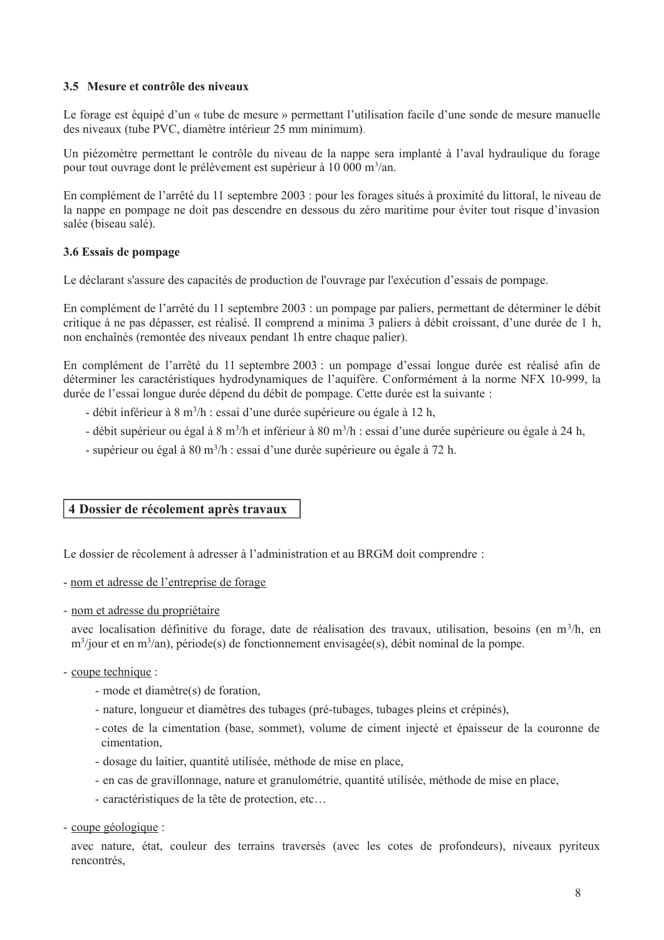# 3.5 Mesure et contrôle des niveaux

Le forage est équipé d'un « tube de mesure » permettant l'utilisation facile d'une sonde de mesure manuelle des niveaux (tube PVC, diamètre intérieur 25 mm minimum).

Un piézomètre permettant le contrôle du niveau de la nappe sera implanté à l'aval hydraulique du forage pour tout ouvrage dont le prélèvement est supérieur à 10 000 m<sup>3</sup>/an.

En complément de l'arrêté du 11 septembre 2003 : pour les forages situés à proximité du littoral, le niveau de la nappe en pompage ne doit pas descendre en dessous du zéro maritime pour éviter tout risque d'invasion salée (biseau salé).

# 3.6 Essais de pompage

Le déclarant s'assure des capacités de production de l'ouvrage par l'exécution d'essais de pompage.

En complément de l'arrêté du 11 septembre 2003 : un pompage par paliers, permettant de déterminer le débit critique à ne pas dépasser, est réalisé. Il comprend a minima 3 paliers à débit croissant, d'une durée de 1 h, non enchaînés (remontée des niveaux pendant 1h entre chaque palier).

En complément de l'arrêté du 11 septembre 2003 : un pompage d'essai longue durée est réalisé afin de déterminer les caractéristiques hydrodynamiques de l'aquifère. Conformément à la norme NFX 10-999, la durée de l'essai longue durée dépend du débit de pompage. Cette durée est la suivante :

- débit inférieur à 8 m<sup>3</sup>/h : essai d'une durée supérieure ou égale à 12 h.
- débit supérieur ou égal à 8 m<sup>3</sup>/h et inférieur à 80 m<sup>3</sup>/h : essai d'une durée supérieure ou égale à 24 h,
- supérieur ou égal à  $80 \text{ m}^3/\text{h}$ : essai d'une durée supérieure ou égale à 72 h.

# 4 Dossier de récolement après travaux

Le dossier de récolement à adresser à l'administration et au BRGM doit comprendre :

- nom et adresse de l'entreprise de forage

- nom et adresse du propriétaire

avec localisation définitive du forage, date de réalisation des travaux, utilisation, besoins (en  $m^3/h$ , en  $m^3$ /jour et en m $^3$ /an), période(s) de fonctionnement envisagée(s), débit nominal de la pompe.

# - coupe technique :

- mode et diamètre(s) de foration,
- nature, longueur et diamètres des tubages (pré-tubages, tubages pleins et crépinés),
- cotes de la cimentation (base, sommet), volume de ciment injecté et épaisseur de la couronne de cimentation.
- dosage du laitier, quantité utilisée, méthode de mise en place,
- en cas de gravillonnage, nature et granulométrie, quantité utilisée, méthode de mise en place,
- caractéristiques de la tête de protection, etc...
- coupe géologique :

avec nature, état, couleur des terrains traversés (avec les cotes de profondeurs), niveaux pyriteux rencontrés,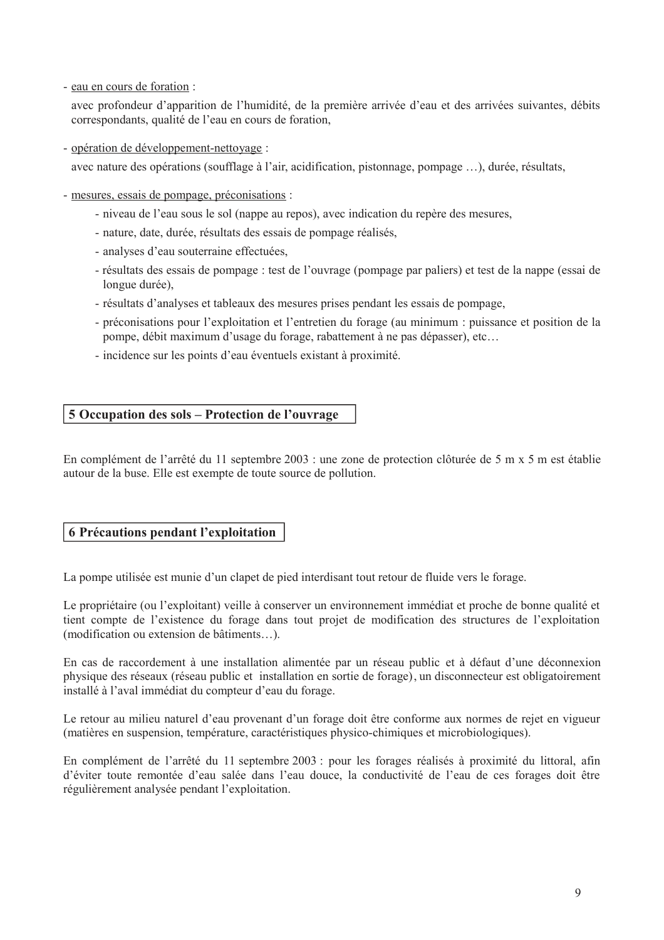- eau en cours de foration :

avec profondeur d'apparition de l'humidité, de la première arrivée d'eau et des arrivées suivantes, débits correspondants, qualité de l'eau en cours de foration,

- opération de développement-nettovage :

avec nature des opérations (soufflage à l'air, acidification, pistonnage, pompage ...), durée, résultats,

- mesures, essais de pompage, préconisations :
	- niveau de l'eau sous le sol (nappe au repos), avec indication du repère des mesures,
	- nature, date, durée, résultats des essais de pompage réalisés,
	- analyses d'eau souterraine effectuées.
	- résultats des essais de pompage : test de l'ouvrage (pompage par paliers) et test de la nappe (essai de longue durée),
	- résultats d'analyses et tableaux des mesures prises pendant les essais de pompage.
	- préconisations pour l'exploitation et l'entretien du forage (au minimum : puissance et position de la pompe, débit maximum d'usage du forage, rabattement à ne pas dépasser), etc...
	- incidence sur les points d'eau éventuels existant à proximité.

# 5 Occupation des sols - Protection de l'ouvrage

En complément de l'arrêté du 11 septembre 2003 : une zone de protection clôturée de 5 m x 5 m est établie autour de la buse. Elle est exempte de toute source de pollution.

# **6 Précautions pendant l'exploitation**

La pompe utilisée est munie d'un clapet de pied interdisant tout retour de fluide vers le forage.

Le propriétaire (ou l'exploitant) veille à conserver un environnement immédiat et proche de bonne qualité et tient compte de l'existence du forage dans tout projet de modification des structures de l'exploitation (modification ou extension de bâtiments...).

En cas de raccordement à une installation alimentée par un réseau public et à défaut d'une déconnexion physique des réseaux (réseau public et installation en sortie de forage), un disconnecteur est obligatoirement installé à l'aval immédiat du compteur d'eau du forage.

Le retour au milieu naturel d'eau provenant d'un forage doit être conforme aux normes de rejet en vigueur (matières en suspension, température, caractéristiques physico-chimiques et microbiologiques).

En complément de l'arrêté du 11 septembre 2003 : pour les forages réalisés à proximité du littoral, afin d'éviter toute remontée d'eau salée dans l'eau douce, la conductivité de l'eau de ces forages doit être régulièrement analysée pendant l'exploitation.